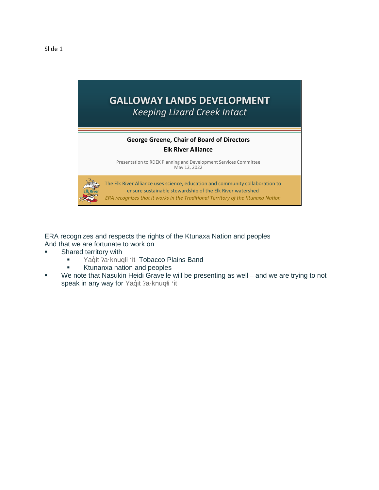

ERA recognizes and respects the rights of the Ktunaxa Nation and peoples And that we are fortunate to work on

- Shared territory with
	- **■** Yaquit ?a·knuqłi 'it Tobacco Plains Band
	- **EXECUTE:** Ktunanxa nation and peoples
- We note that Nasukin Heidi Gravelle will be presenting as well and we are trying to not speak in any way for Yaqıt ?a knuqli 'it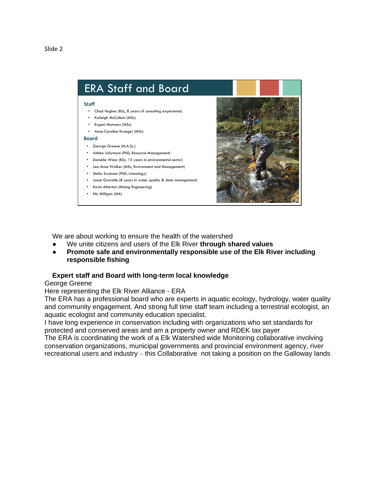

We are about working to ensure the health of the watershed

- We unite citizens and users of the Elk River **through shared values**
- **Promote safe and environmentally responsible use of the Elk River including responsible fishing**

## **Expert staff and Board with long-term local knowledge**

## George Greene

Here representing the Elk River Alliance - ERA

The ERA has a professional board who are experts in aquatic ecology, hydrology, water quality and community engagement. And strong full time staff team including a terrestrial ecologist, an aquatic ecologist and community education specialist.

I have long experience in conservation including with organizations who set standards for protected and conserved areas and am a property owner and RDEK tax payer

The ERA is coordinating the work of a Elk Watershed wide Monitoring collaborative involving conservation organizations, municipal governments and provincial environment agency, river recreational users and industry – this Collaborative not taking a position on the Galloway lands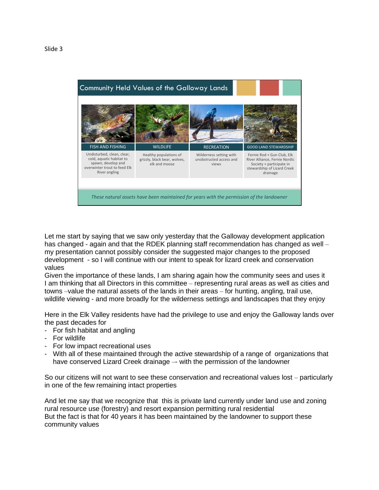

Let me start by saying that we saw only yesterday that the Galloway development application has changed - again and that the RDEK planning staff recommendation has changed as well – my presentation cannot possibly consider the suggested major changes to the proposed development - so I will continue with our intent to speak for lizard creek and conservation values

Given the importance of these lands, I am sharing again how the community sees and uses it I am thinking that all Directors in this committee – representing rural areas as well as cities and towns –value the natural assets of the lands in their areas – for hunting, angling, trail use, wildlife viewing - and more broadly for the wilderness settings and landscapes that they enjoy

Here in the Elk Valley residents have had the privilege to use and enjoy the Galloway lands over the past decades for

- For fish habitat and angling
- For wildlife
- For low impact recreational uses
- With all of these maintained through the active stewardship of a range of organizations that have conserved Lizard Creek drainage -- with the permission of the landowner

So our citizens will not want to see these conservation and recreational values lost – particularly in one of the few remaining intact properties

And let me say that we recognize that this is private land currently under land use and zoning rural resource use (forestry) and resort expansion permitting rural residential But the fact is that for 40 years it has been maintained by the landowner to support these community values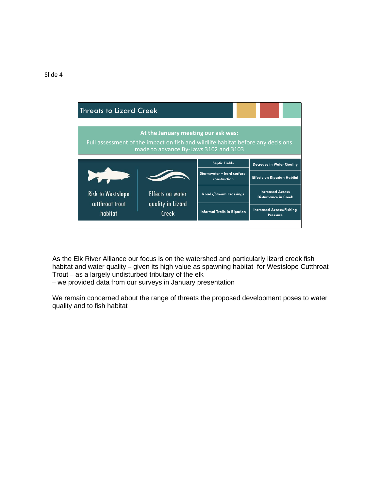

As the Elk River Alliance our focus is on the watershed and particularly lizard creek fish habitat and water quality – given its high value as spawning habitat for Westslope Cutthroat Trout – as a largely undisturbed tributary of the elk

– we provided data from our surveys in January presentation

We remain concerned about the range of threats the proposed development poses to water quality and to fish habitat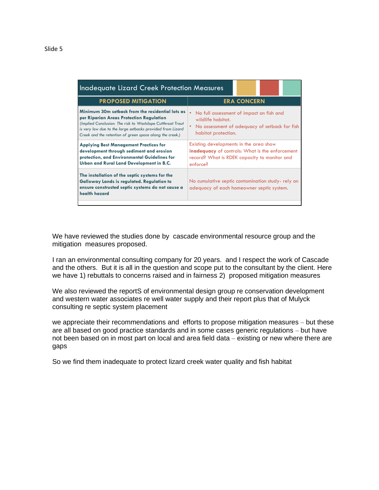| ۰,<br>۰,<br>×<br>×<br>۰,<br>۰, |  |
|--------------------------------|--|
|--------------------------------|--|

| <b>Inadequate Lizard Creek Protection Measures</b>                                                                                                                                                                                                                                   |                                                                                                                                                              |  |
|--------------------------------------------------------------------------------------------------------------------------------------------------------------------------------------------------------------------------------------------------------------------------------------|--------------------------------------------------------------------------------------------------------------------------------------------------------------|--|
| <b>PROPOSED MITIGATION</b>                                                                                                                                                                                                                                                           | <b>ERA CONCERN</b>                                                                                                                                           |  |
| Minimum 30m setback from the residential lots as<br>per Riparian Areas Protection Regulation<br>(Implied Conclusion: The risk to Westslope Cutthroat Trout<br>is very low due to the large setbacks provided from Lizard<br>Creek and the retention of green space along the creek.) | No full assessment of impact on fish and<br>wildlife habitat.<br>No assessment of adequacy of setback for fish<br>habitat protection.                        |  |
| <b>Applying Best Management Practices for</b><br>development through sediment and erosion<br>protection, and Environmental Guidelines for<br>Urban and Rural Land Development in B.C.                                                                                                | Existing developments in the area show<br><b>inadequacy</b> of controls: What is the enforcement<br>record? What is RDEK capacity to monitor and<br>enforce? |  |
| The installation of the septic systems for the<br><b>Galloway Lands is regulated. Regulation to</b><br>ensure constructed septic systems do not cause a<br>health hazard                                                                                                             | No cumulative septic contamination study-rely on<br>adequacy of each homeowner septic system.                                                                |  |

We have reviewed the studies done by cascade environmental resource group and the mitigation measures proposed.

I ran an environmental consulting company for 20 years. and I respect the work of Cascade and the others. But it is all in the question and scope put to the consultant by the client. Here we have 1) rebuttals to concerns raised and in fairness 2) proposed mitigation measures

We also reviewed the reportS of environmental design group re conservation development and western water associates re well water supply and their report plus that of Mulyck consulting re septic system placement

we appreciate their recommendations and efforts to propose mitigation measures – but these are all based on good practice standards and in some cases generic regulations – but have not been based on in most part on local and area field data – existing or new where there are gaps

So we find them inadequate to protect lizard creek water quality and fish habitat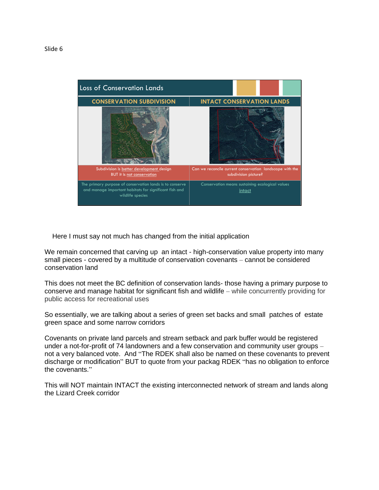

Here I must say not much has changed from the initial application

We remain concerned that carving up an intact - high-conservation value property into many small pieces - covered by a multitude of conservation covenants – cannot be considered conservation land

This does not meet the BC definition of conservation lands- those having a primary purpose to conserve and manage habitat for significant fish and wildlife – while concurrently providing for public access for recreational uses

So essentially, we are talking about a series of green set backs and small patches of estate green space and some narrow corridors

Covenants on private land parcels and stream setback and park buffer would be registered under a not-for-profit of 74 landowners and a few conservation and community user groups – not a very balanced vote. And "The RDEK shall also be named on these covenants to prevent discharge or modification" BUT to quote from your packag RDEK "has no obligation to enforce the covenants."

This will NOT maintain INTACT the existing interconnected network of stream and lands along the Lizard Creek corridor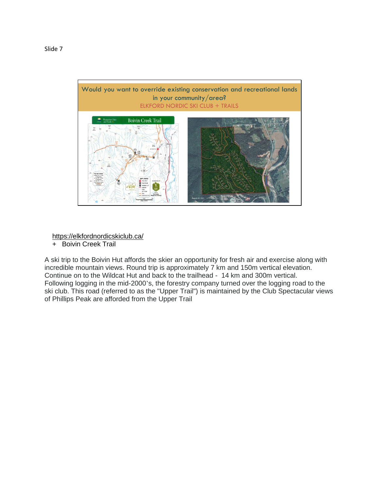

https://elkfordnordicskiclub.ca/

+ Boivin Creek Trail

A ski trip to the Boivin Hut affords the skier an opportunity for fresh air and exercise along with incredible mountain views. Round trip is approximately 7 km and 150m vertical elevation. Continue on to the Wildcat Hut and back to the trailhead - 14 km and 300m vertical. Following logging in the mid-2000's, the forestry company turned over the logging road to the ski club. This road (referred to as the "Upper Trail") is maintained by the Club Spectacular views of Phillips Peak are afforded from the Upper Trail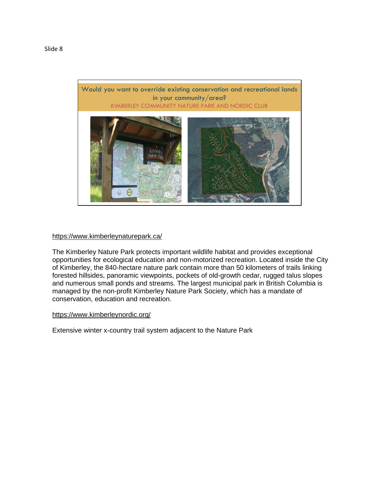

## https://www.kimberleynaturepark.ca/

The Kimberley Nature Park protects important wildlife habitat and provides exceptional opportunities for ecological education and non-motorized recreation. Located inside the City of Kimberley, the 840-hectare nature park contain more than 50 kilometers of trails linking forested hillsides, panoramic viewpoints, pockets of old-growth cedar, rugged talus slopes and numerous small ponds and streams. The largest municipal park in British Columbia is managed by the non-profit Kimberley Nature Park Society, which has a mandate of conservation, education and recreation.

## https://www.kimberleynordic.org/

Extensive winter x-country trail system adjacent to the Nature Park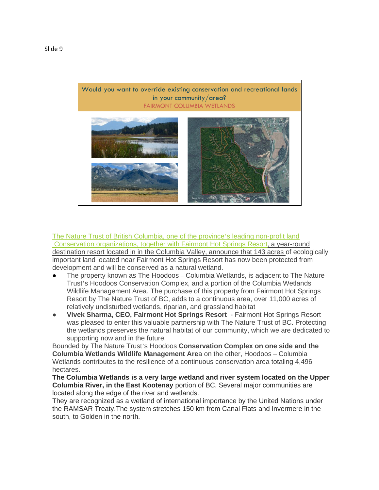

The Nature Trust of British Columbia, one of the province's leading non-profit land Conservation organizations, together with Fairmont Hot Springs Resort, a year-round destination resort located in in the Columbia Valley, announce that 143 acres of ecologically important land located near Fairmont Hot Springs Resort has now been protected from development and will be conserved as a natural wetland.

- The property known as The Hoodoos Columbia Wetlands, is adjacent to The Nature Trust's Hoodoos Conservation Complex, and a portion of the Columbia Wetlands Wildlife Management Area. The purchase of this property from Fairmont Hot Springs Resort by The Nature Trust of BC, adds to a continuous area, over 11,000 acres of relatively undisturbed wetlands, riparian, and grassland habitat
- **Vivek Sharma, CEO, Fairmont Hot Springs Resort** Fairmont Hot Springs Resort was pleased to enter this valuable partnership with The Nature Trust of BC. Protecting the wetlands preserves the natural habitat of our community, which we are dedicated to supporting now and in the future.

Bounded by The Nature Trust's Hoodoos **Conservation Complex on one side and the Columbia Wetlands Wildlife Management Are**a on the other, Hoodoos – Columbia Wetlands contributes to the resilience of a continuous conservation area totaling 4,496 hectares.

**The Columbia Wetlands is a very large wetland and river system located on the Upper Columbia River, in the East Kootenay** portion of BC. Several major communities are located along the edge of the river and wetlands.

They are recognized as a wetland of international importance by the United Nations under the RAMSAR Treaty.The system stretches 150 km from Canal Flats and Invermere in the south, to Golden in the north.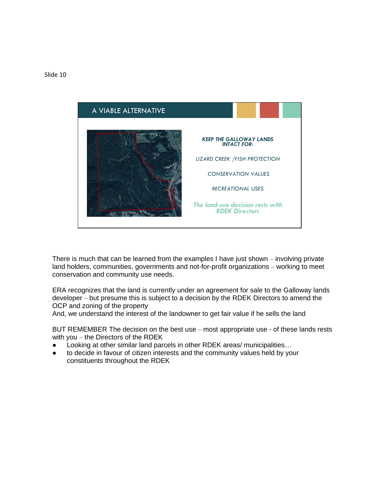

There is much that can be learned from the examples I have just shown – involving private land holders, communities, governments and not-for-profit organizations – working to meet conservation and community use needs.

ERA recognizes that the land is currently under an agreement for sale to the Galloway lands developer – but presume this is subject to a decision by the RDEK Directors to amend the OCP and zoning of the property

And, we understand the interest of the landowner to get fair value if he sells the land

BUT REMEMBER The decision on the best use – most appropriate use - of these lands rests with you – the Directors of the RDEK

- Looking at other similar land parcels in other RDEK areas/ municipalities...
- to decide in favour of citizen interests and the community values held by your constituents throughout the RDEK